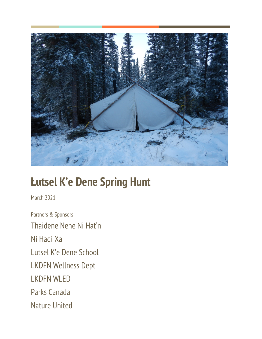

# **Łutsel K'e Dene Spring Hunt**

March 2021

Partners & Sponsors: Thaidene Nene Ni Hat'ni Ni Hadi Xa Lutsel K'e Dene School LKDFN Wellness Dept LKDFN WLED Parks Canada Nature United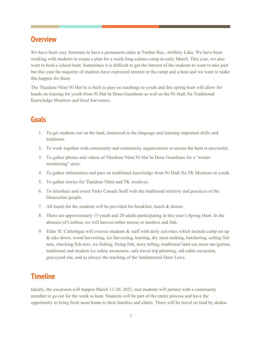#### **Overview**

We have been very fortunate to have a permanent cabin at Timber Bay, Artillery Lake. We have been working with students to create a plan for a week-long culture camp in early March. This year, we also want to hold a school hunt. Sometimes it is difficult to get the interest of the students to want to take part but this year the majority of students have expressed interest in the camp and a hunt and we want to make this happen for them.

The Thaidene Nëné Ni Hat'ni is built to pass on teachings to youth and this spring hunt will allow for hands on training for youth from Ni Hat'ni Dene Guardians as well as the Ni Hadi Xa Traditional Knowledge Monitors and local harvesters.

#### **Goals**

- 1. To get students out on the land, immersed in the language and learning important skills and traditions.
- 2. To work together with community and community organizations to ensure the hunt is successful.
- 3. To gather photos and videos of Thaidene Nëné Ni Hat'ni Dene Guardians for a "winter monitoring" story.
- 4. To gather information and pass on traditional knowledge from Ni Hadi Xa TK Monitors to youth.
- 5. To gather stories for Thaidene Nëné and TK Archives.
- 6. To introduce and orient Parks Canada Staff with the traditional territory and practices of the Denesuline people.
- 7. All meals for the students will be provided for breakfast, lunch & dinner.
- 8. There are approximately 15 youth and 20 adults participating in this year's Spring Hunt. In the absence of Caribou, we will harvest either moose or muskox and fish.
- 9. Elder JC Catholique will oversee students  $\&$  staff with daily activities which include camp set up & take down, wood harvesting, ice harvesting, hunting, dry meat making, butchering, setting fish nets, checking fish nets, ice fishing, fixing fish, story telling, traditional land use areas navigation, traditional and modern ice safety awareness, safe travel trip planning, old cabin excursion, graveyard site, and as always the teaching of the fundamental Dene Laws.

#### **Timeline**

Ideally, the excursion will happen March 11-20, 2021, and students will partner with a community member to go out for the week to hunt. Students will be part of the entire process and have the opportunity to bring fresh meat home to their families and elders. There will be travel on land by skidoo